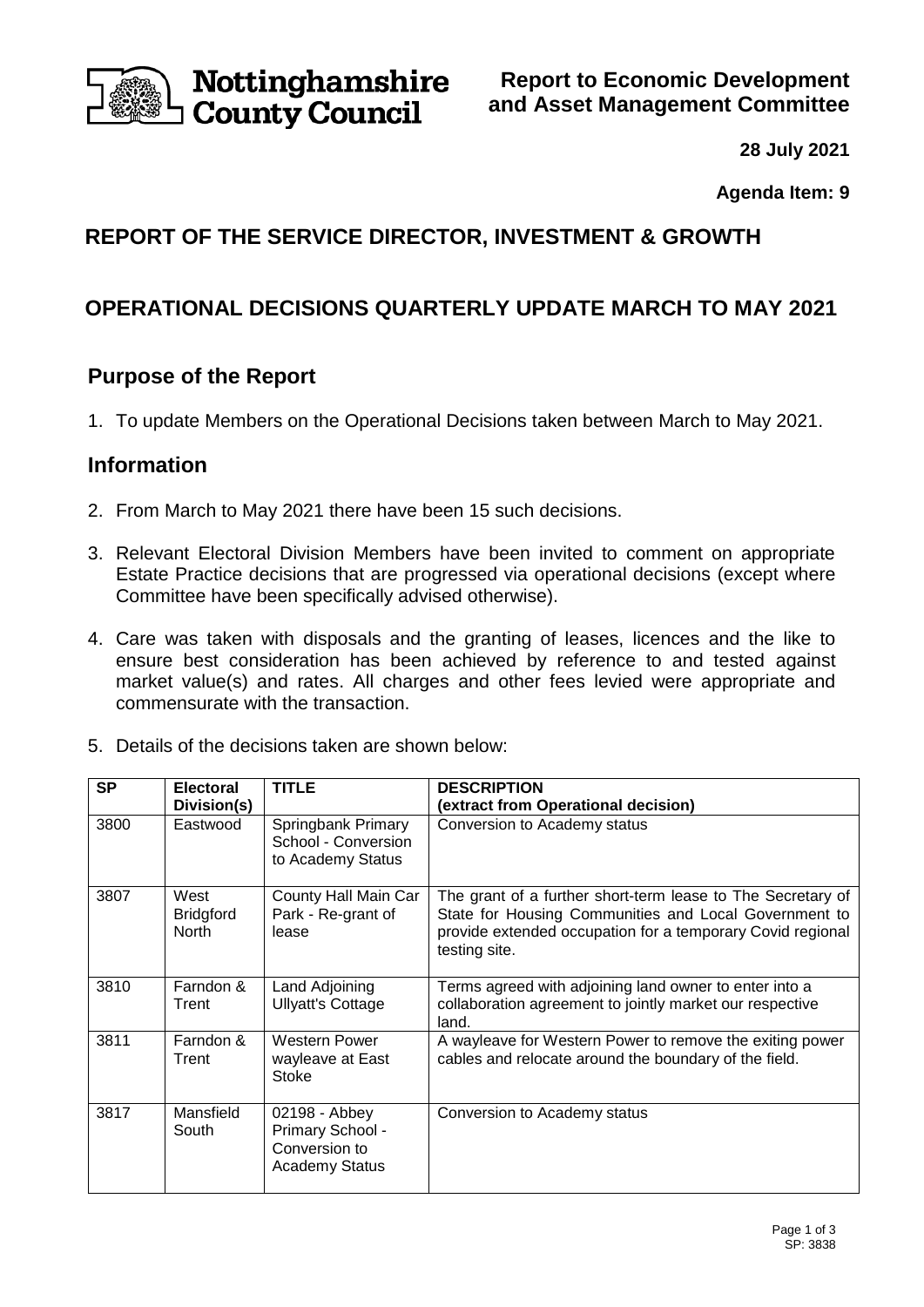

Nottinghamshire **County Council** 

**Report to Economic Development and Asset Management Committee**

**28 July 2021**

**Agenda Item: 9**

# **REPORT OF THE SERVICE DIRECTOR, INVESTMENT & GROWTH**

# **OPERATIONAL DECISIONS QUARTERLY UPDATE MARCH TO MAY 2021**

## **Purpose of the Report**

1. To update Members on the Operational Decisions taken between March to May 2021.

## **Information**

- 2. From March to May 2021 there have been 15 such decisions.
- 3. Relevant Electoral Division Members have been invited to comment on appropriate Estate Practice decisions that are progressed via operational decisions (except where Committee have been specifically advised otherwise).
- 4. Care was taken with disposals and the granting of leases, licences and the like to ensure best consideration has been achieved by reference to and tested against market value(s) and rates. All charges and other fees levied were appropriate and commensurate with the transaction.
- 5. Details of the decisions taken are shown below:

| <b>SP</b> | <b>Electoral</b><br>Division(s)          | <b>TITLE</b>                                                                | <b>DESCRIPTION</b><br>(extract from Operational decision)                                                                                                                                           |
|-----------|------------------------------------------|-----------------------------------------------------------------------------|-----------------------------------------------------------------------------------------------------------------------------------------------------------------------------------------------------|
| 3800      | Eastwood                                 | Springbank Primary<br>School - Conversion<br>to Academy Status              | Conversion to Academy status                                                                                                                                                                        |
| 3807      | West<br><b>Bridgford</b><br><b>North</b> | County Hall Main Car<br>Park - Re-grant of<br>lease                         | The grant of a further short-term lease to The Secretary of<br>State for Housing Communities and Local Government to<br>provide extended occupation for a temporary Covid regional<br>testing site. |
| 3810      | Farndon &<br>Trent                       | Land Adjoining<br><b>Ullyatt's Cottage</b>                                  | Terms agreed with adjoining land owner to enter into a<br>collaboration agreement to jointly market our respective<br>land.                                                                         |
| 3811      | Farndon &<br>Trent                       | <b>Western Power</b><br>wayleave at East<br>Stoke                           | A wayleave for Western Power to remove the exiting power<br>cables and relocate around the boundary of the field.                                                                                   |
| 3817      | Mansfield<br>South                       | 02198 - Abbey<br>Primary School -<br>Conversion to<br><b>Academy Status</b> | Conversion to Academy status                                                                                                                                                                        |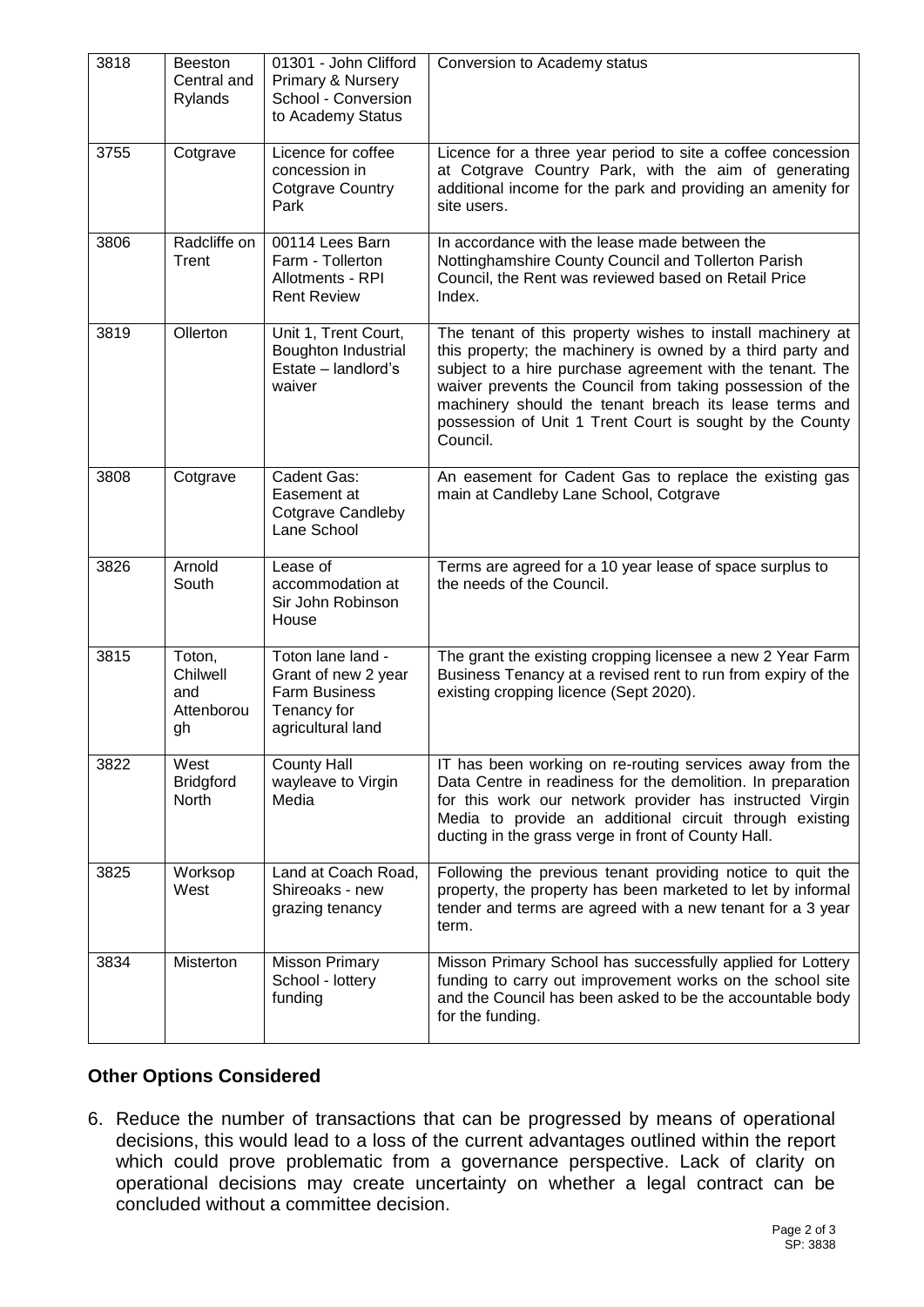| 3818 | <b>Beeston</b><br>Central and<br>Rylands      | 01301 - John Clifford<br>Primary & Nursery<br>School - Conversion<br>to Academy Status               | Conversion to Academy status                                                                                                                                                                                                                                                                                                                                                         |
|------|-----------------------------------------------|------------------------------------------------------------------------------------------------------|--------------------------------------------------------------------------------------------------------------------------------------------------------------------------------------------------------------------------------------------------------------------------------------------------------------------------------------------------------------------------------------|
| 3755 | Cotgrave                                      | Licence for coffee<br>concession in<br><b>Cotgrave Country</b><br>Park                               | Licence for a three year period to site a coffee concession<br>at Cotgrave Country Park, with the aim of generating<br>additional income for the park and providing an amenity for<br>site users.                                                                                                                                                                                    |
| 3806 | Radcliffe on<br>Trent                         | 00114 Lees Barn<br>Farm - Tollerton<br>Allotments - RPI<br><b>Rent Review</b>                        | In accordance with the lease made between the<br>Nottinghamshire County Council and Tollerton Parish<br>Council, the Rent was reviewed based on Retail Price<br>Index.                                                                                                                                                                                                               |
| 3819 | Ollerton                                      | Unit 1, Trent Court,<br><b>Boughton Industrial</b><br>Estate - landlord's<br>waiver                  | The tenant of this property wishes to install machinery at<br>this property; the machinery is owned by a third party and<br>subject to a hire purchase agreement with the tenant. The<br>waiver prevents the Council from taking possession of the<br>machinery should the tenant breach its lease terms and<br>possession of Unit 1 Trent Court is sought by the County<br>Council. |
| 3808 | Cotgrave                                      | Cadent Gas:<br>Easement at<br><b>Cotgrave Candleby</b><br>Lane School                                | An easement for Cadent Gas to replace the existing gas<br>main at Candleby Lane School, Cotgrave                                                                                                                                                                                                                                                                                     |
| 3826 | Arnold<br>South                               | Lease of<br>accommodation at<br>Sir John Robinson<br>House                                           | Terms are agreed for a 10 year lease of space surplus to<br>the needs of the Council.                                                                                                                                                                                                                                                                                                |
| 3815 | Toton,<br>Chilwell<br>and<br>Attenborou<br>gh | Toton lane land -<br>Grant of new 2 year<br><b>Farm Business</b><br>Tenancy for<br>agricultural land | The grant the existing cropping licensee a new 2 Year Farm<br>Business Tenancy at a revised rent to run from expiry of the<br>existing cropping licence (Sept 2020).                                                                                                                                                                                                                 |
| 3822 | West<br><b>Bridgford</b><br>North             | <b>County Hall</b><br>wayleave to Virgin<br>Media                                                    | IT has been working on re-routing services away from the<br>Data Centre in readiness for the demolition. In preparation<br>for this work our network provider has instructed Virgin<br>Media to provide an additional circuit through existing<br>ducting in the grass verge in front of County Hall.                                                                                |
| 3825 | Worksop<br>West                               | Land at Coach Road,<br>Shireoaks - new<br>grazing tenancy                                            | Following the previous tenant providing notice to quit the<br>property, the property has been marketed to let by informal<br>tender and terms are agreed with a new tenant for a 3 year<br>term.                                                                                                                                                                                     |
| 3834 | Misterton                                     | Misson Primary<br>School - lottery<br>funding                                                        | Misson Primary School has successfully applied for Lottery<br>funding to carry out improvement works on the school site<br>and the Council has been asked to be the accountable body<br>for the funding.                                                                                                                                                                             |

### **Other Options Considered**

6. Reduce the number of transactions that can be progressed by means of operational decisions, this would lead to a loss of the current advantages outlined within the report which could prove problematic from a governance perspective. Lack of clarity on operational decisions may create uncertainty on whether a legal contract can be concluded without a committee decision.